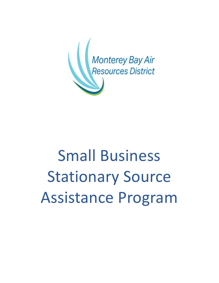

# Small Business Stationary Source Assistance Program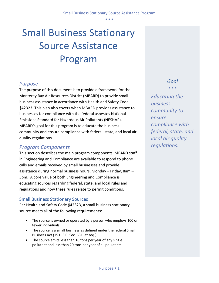• • •

# Small Business Stationary Source Assistance Program

# *Purpose*

The purpose of this document is to provide a framework for the Monterey Bay Air Resources District (MBARD) to provide small business assistance in accordance with Health and Safety Code §42323. This plan also covers when MBARD provides assistance to businesses for compliance with the federal asbestos National Emissions Standard for Hazardous Air Pollutants (NESHAP). MBARD's goal for this program is to educate the business community and ensure compliance with federal, state, and local air quality regulations.

# *Program Components*

This section describes the main program components. MBARD staff in Engineering and Compliance are available to respond to phone calls and emails received by small businesses and provide assistance during normal business hours, Monday – Friday, 8am – 5pm. A core value of both Engineering and Compliance is educating sources regarding federal, state, and local rules and regulations and how these rules relate to permit conditions.

#### Small Business Stationary Sources

Per Health and Safety Code §42323, a small business stationary source meets all of the following requirements:

- The source is owned or operated by a person who employs 100 or fewer individuals.
- The source is a small business as defined under the federal Small Business Act (15 U.S.C. Sec. 631, et seq.).
- The source emits less than 10 tons per year of any single pollutant and less than 20 tons per year of all pollutants.

## *Goal* • • •

*Educating the business community to ensure compliance with federal, state, and local air quality regulations.*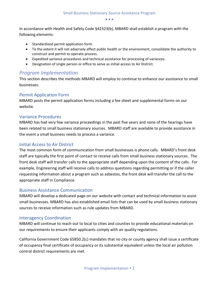• • •

In accordance with Health and Safety Code §42323(b), MBARD shall establish a program with the following elements:

- Standardized permit application form.
- To the extent it will not adversely affect public health or the environment, consolidate the authority to construct and permit to operate process.
- Expedited variance procedures and technical assistance for processing of variances.
- Designation of single person or office to serve as initial access to Air District.

### *Program Implementation*

This section describes the methods MBARD will employ to continue to enhance our assistance to small businesses.

#### Permit Application Form

MBARD posts the permit application forms including a fee sheet and supplemental forms on our website.

#### Variance Procedures

MBARD has had very few variance proceedings in the past five years and none of the hearings have been related to small business stationary sources. MBARD staff are available to provide assistance in the event a small business needs to process a variance.

#### Initial Access to Air District

The most common form of communication from small businesses is phone calls. MBARD's front desk staff are typically the first point of contact to receive calls from small business stationary sources. The front desk staff will transfer calls to the appropriate staff depending upon the content of the calls. For example, Engineering staff will receive calls to address questions regarding permitting or if the caller requesting information about a program such as asbestos, the front desk will transfer the call to the appropriate staff in Compliance.

#### Business Assistance Communication

MBARD will develop a dedicated page on our website with contact and technical information to assist small businesses. MBARD has also established email lists that can be used by small business stationary sources to receive information such as rule updates from MBARD.

#### Interagency Coordination

MBARD will continue to reach out to local to cities and counties to provide educational materials on our requirements to ensure their applicants comply with air quality regulations.

California Government Code 65850.2(c) mandates that no city or county agency shall issue a certificate of occupancy final certificate of occupancy or its substantial equivalent unless the local air pollution control district requirements are met.